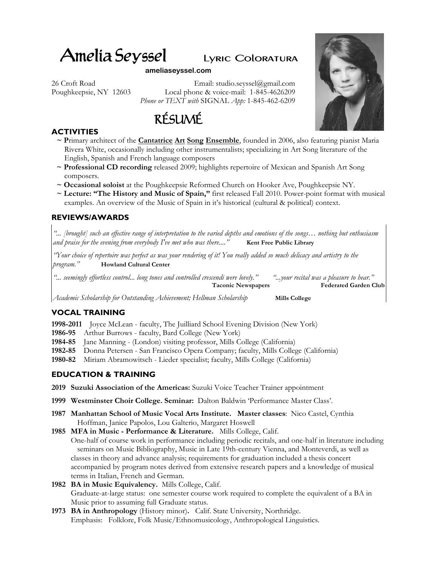# Amelia Seyssel Lyric Coloratura

#### **ameliaseyssel.com**

26 Croft Road Email: studio.seyssel@gmail.com Poughkeepsie, NY 12603 Local phone & voice-mail: 1-845-4626209 *Phone or TEXT with* SIGNAL *App:* 1-845-462-6209



## **ACTIVITIES**

- **~ P**rimary architect of the **Cantatrice Art Song Ensemble**, founded in 2006, also featuring pianist Maria Rivera White, occasionally including other instrumentalists; specializing in Art Song literature of the English, Spanish and French language composers
- **~ Professional CD recording** released 2009; highlights repertoire of Mexican and Spanish Art Song composers.
- **~ Occasional soloist** at the Poughkeepsie Reformed Church on Hooker Ave, Poughkeepsie NY.
- **~ Lecture: "The History and Music of Spain,"** first released Fall 2010. Power-point format with musical examples. An overview of the Music of Spain in it's historical (cultural & political) context.

## **REVIEWS/AWARDS**

*"... [brought] such an effective range of interpretation to the varied depths and emotions of the songs… nothing but enthusiasm and praise for the evening from everybody I've met who was there....*" **Kent Free Public Library** 

*"Your choice of repertoire was perfect as was your rendering of it! You really added so much delicacy and artistry to the program."* **Howland Cultural Center**

| " seemingly effortless control long tones and controlled crescendi were lovely." | "your recital was a pleasure to hear." |
|----------------------------------------------------------------------------------|----------------------------------------|
| <b>Taconic Newspapers</b>                                                        | <b>Federated Garden Club</b>           |

*Academic Scholarship for Outstanding Achievement; Hellman Scholarship* **Mills College**

# **VOCAL TRAINING**

**1998-2011** Joyce McLean - faculty, The Juilliard School Evening Division (New York)

**1986-95** Arthur Burrows - faculty, Bard College (New York)

**1984-85** Jane Manning - (London) visiting professor, Mills College (California)

**1982-85** Donna Petersen - San Francisco Opera Company; faculty, Mills College (California)

**1980-82** Miriam Abramowitsch - Lieder specialist; faculty, Mills College (California)

# **EDUCATION & TRAINING**

- **2019 Suzuki Association of the Americas:** Suzuki Voice Teacher Trainer appointment
- **1999 Westminster Choir College. Seminar:** Dalton Baldwin 'Performance Master Class'.
- **1987 Manhattan School of Music Vocal Arts Institute. Master classes**: Nico Castel, Cynthia Hoffman, Janice Papolos, Lou Galterio, Margaret Hoswell
- **1985 MFA in Music Performance & Literature.** Mills College, Calif. One-half of course work in performance including periodic recitals, and one-half in literature including seminars on Music Bibliography, Music in Late 19th-century Vienna, and Monteverdi, as well as classes in theory and advance analysis; requirements for graduation included a thesis concert accompanied by program notes derived from extensive research papers and a knowledge of musical terms in Italian, French and German.
- **1982 BA in Music Equivalency.** Mills College, Calif. Graduate-at-large status: one semester course work required to complete the equivalent of a BA in Music prior to assuming full Graduate status.
- **1973 BA in Anthropology** (History minor)**.** Calif. State University, Northridge. Emphasis: Folklore, Folk Music/Ethnomusicology, Anthropological Linguistics.